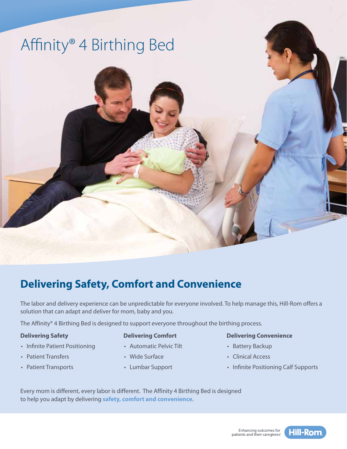

# **Delivering Safety, Comfort and Convenience**

The labor and delivery experience can be unpredictable for everyone involved. To help manage this, Hill-Rom offers a solution that can adapt and deliver for mom, baby and you.

The Affinity® 4 Birthing Bed is designed to support everyone throughout the birthing process.

## **Delivering Safety**

- Infinite Patient Positioning
- Patient Transfers
- Patient Transports

### **Delivering Comfort**

- Automatic Pelvic Tilt
- Wide Surface
- Lumbar Support

#### **Delivering Convenience**

- Battery Backup
- Clinical Access
- Infinite Positioning Calf Supports

Every mom is different, every labor is different. The Affinity 4 Birthing Bed is designed to help you adapt by delivering **safety, comfort and convenience**.

# Enhancing outcomes for<br>patients and their caregivers:

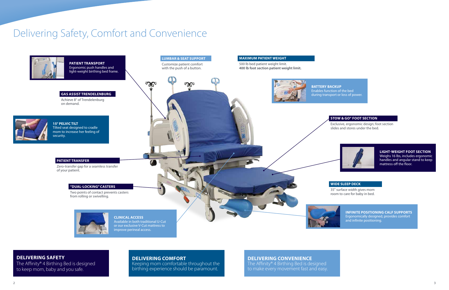## **DELIVERING SAFETY**

The Affinity® 4 Birthing Bed is designed to keep mom, baby and you safe.

# **DELIVERING COMFORT**

Keeping mom comfortable throughout the birthing experience should be paramount.

# Delivering Safety, Comfort and Convenience

#### **WIDE SLEEP DECK**

35" surface width gives mom room to care for baby in bed.

#### **STOW & GO® FOOT SECTION**

Exclusive, ergonomic design; foot section slides and stores under the bed.



## **DELIVERING CONVENIENCE**

The Affinity® 4 Birthing Bed is designed to make every movement fast and easy.

during transport or loss of power.



**LIGHT-WEIGHT FOOT SECTION** Weighs 16 lbs, includes ergonomic handles and angular stand to keep mattress off the floor.

**INFINITE POSITIONING CALF SUPPORTS** Ergonomically designed, provides comfort and infinite positioning.

improve perineal access.